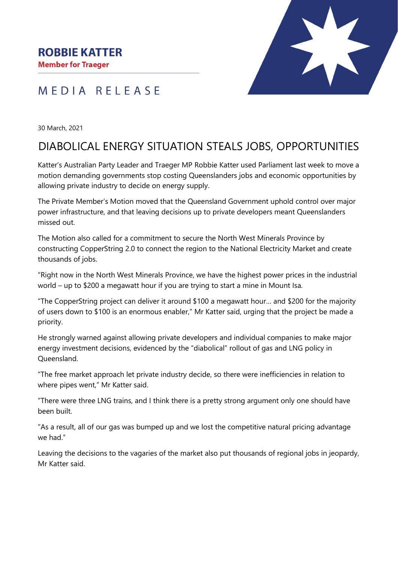### **ROBBIE KATTER**

**Member for Traeger** 

# MEDIA RELEASE



30 March, 2021

# DIABOLICAL ENERGY SITUATION STEALS JOBS, OPPORTUNITIES

Katter's Australian Party Leader and Traeger MP Robbie Katter used Parliament last week to move a motion demanding governments stop costing Queenslanders jobs and economic opportunities by allowing private industry to decide on energy supply.

The Private Member's Motion moved that the Queensland Government uphold control over major power infrastructure, and that leaving decisions up to private developers meant Queenslanders missed out.

The Motion also called for a commitment to secure the North West Minerals Province by constructing CopperString 2.0 to connect the region to the National Electricity Market and create thousands of jobs.

"Right now in the North West Minerals Province, we have the highest power prices in the industrial world – up to \$200 a megawatt hour if you are trying to start a mine in Mount Isa.

"The CopperString project can deliver it around \$100 a megawatt hour… and \$200 for the majority of users down to \$100 is an enormous enabler," Mr Katter said, urging that the project be made a priority.

He strongly warned against allowing private developers and individual companies to make major energy investment decisions, evidenced by the "diabolical" rollout of gas and LNG policy in Queensland.

"The free market approach let private industry decide, so there were inefficiencies in relation to where pipes went," Mr Katter said.

"There were three LNG trains, and I think there is a pretty strong argument only one should have been built.

"As a result, all of our gas was bumped up and we lost the competitive natural pricing advantage we had."

Leaving the decisions to the vagaries of the market also put thousands of regional jobs in jeopardy, Mr Katter said.